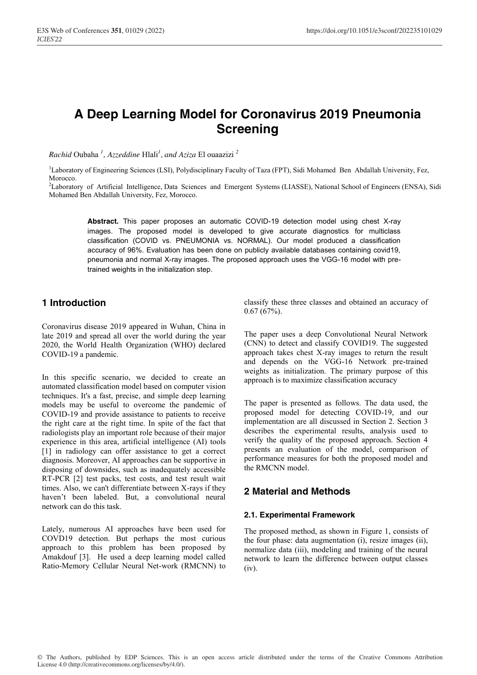# **A Deep Learning Model for Coronavirus 2019 Pneumonia Screening**

*Rachid* Oubaha *<sup>1</sup> , Azzeddine* Hlali*<sup>1</sup> , and Aziza* El ouaazizi *<sup>2</sup>*

<sup>1</sup>Laboratory of Engineering Sciences (LSI), Polydisciplinary Faculty of Taza (FPT), Sidi Mohamed Ben Abdallah University, Fez, **Morocco** 

<sup>2</sup>Laboratory of Artificial Intelligence, Data Sciences and Emergent Systems (LIASSE), National School of Engineers (ENSA), Sidi Mohamed Ben Abdallah University, Fez, Morocco.

**Abstract.** This paper proposes an automatic COVID-19 detection model using chest X-ray images. The proposed model is developed to give accurate diagnostics for multiclass classification (COVID vs. PNEUMONIA vs. NORMAL). Our model produced a classification accuracy of 96%. Evaluation has been done on publicly available databases containing covid19, pneumonia and normal X-ray images. The proposed approach uses the VGG-16 model with pretrained weights in the initialization step.

# **1 Introduction**

Coronavirus disease 2019 appeared in Wuhan, China in late 2019 and spread all over the world during the year 2020, the World\_Health\_Organization (WHO) declared COVID-19 a pandemic.

In this specific scenario, we decided to create an automated classification model based on computer vision techniques. It's a fast, precise, and simple deep learning models may be useful to overcome the pandemic of COVID-19 and provide assistance to patients to receive the right care at the right time. In spite of the fact that radiologists play an important role because of their major experience in this area, artificial intelligence (AI) tools [1] in radiology can offer assistance to get a correct diagnosis. Moreover, AI approaches can be supportive in disposing of downsides, such as inadequately accessible RT-PCR [2] test packs, test costs, and test result wait times. Also, we can't differentiate between X-rays if they haven't been labeled. But, a convolutional neural network can do this task.

Lately, numerous AI approaches have been used for COVD19 detection. But perhaps the most curious approach to this problem has been proposed by Amakdouf [3]. He used a deep learning model called Ratio-Memory Cellular Neural Net-work (RMCNN) to

classify these three classes and obtained an accuracy of 0.67 (67%).

The paper uses a deep Convolutional Neural Network (CNN) to detect and classify COVID19. The suggested approach takes chest X-ray images to return the result and depends on the VGG-16 Network pre-trained weights as initialization. The primary purpose of this approach is to maximize classification accuracy

The paper is presented as follows. The data used, the proposed model for detecting COVID-19, and our implementation are all discussed in Section 2. Section 3 describes the experimental results, analysis used to verify the quality of the proposed approach. Section 4 presents an evaluation of the model, comparison of performance measures for both the proposed model and the RMCNN model.

## **2 Material and Methods**

#### **2.1. Experimental Framework**

The proposed method, as shown in Figure 1, consists of the four phase: data augmentation (i), resize images (ii), normalize data (iii), modeling and training of the neural network to learn the difference between output classes  $(iv)$ .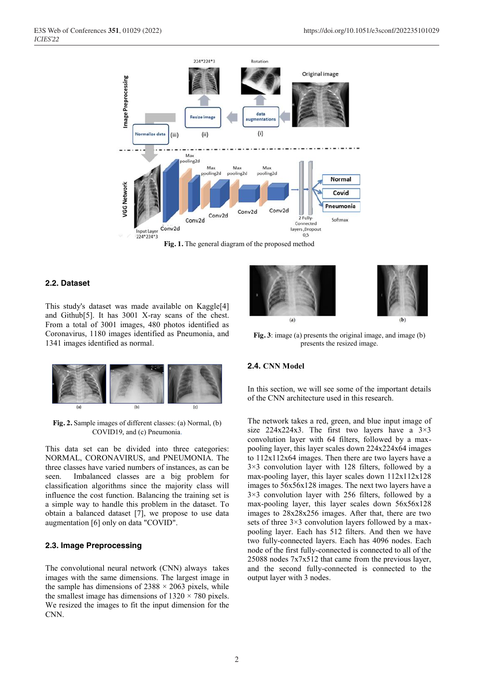

**Fig. 1.** The general diagram of the proposed method

#### **2.2. Dataset**

This study's dataset was made available on Kaggle[4] and Github[5]. It has 3001 X-ray scans of the chest. From a total of 3001 images, 480 photos identified as Coronavirus, 1180 images identified as Pneumonia, and 1341 images identified as normal.



**Fig. 2.** Sample images of different classes: (a) Normal, (b) COVID19, and (c) Pneumonia.

This data set can be divided into three categories: NORMAL, CORONAVIRUS, and PNEUMONIA. The three classes have varied numbers of instances, as can be seen. Imbalanced classes are a big problem for classification algorithms since the majority class will influence the cost function. Balancing the training set is a simple way to handle this problem in the dataset. To obtain a balanced dataset [7], we propose to use data augmentation [6] only on data "COVID".

#### **2.3. Image Preprocessing**

The convolutional neural network (CNN) always takes images with the same dimensions. The largest image in the sample has dimensions of  $2388 \times 2063$  pixels, while the smallest image has dimensions of  $1320 \times 780$  pixels. We resized the images to fit the input dimension for the CNN.



**Fig. 3**: image (a) presents the original image, and image (b) presents the resized image.

#### **2.4. CNN Model**

In this section, we will see some of the important details of the CNN architecture used in this research.

The network takes a red, green, and blue input image of size  $224x224x3$ . The first two layers have a  $3\times3$ convolution layer with 64 filters, followed by a maxpooling layer, this layer scales down 224x224x64 images to 112x112x64 images. Then there are two layers have a 3×3 convolution layer with 128 filters, followed by a max-pooling layer, this layer scales down 112x112x128 images to 56x56x128 images. The next two layers have a 3×3 convolution layer with 256 filters, followed by a max-pooling layer, this layer scales down 56x56x128 images to 28x28x256 images. After that, there are two sets of three 3×3 convolution layers followed by a maxpooling layer. Each has 512 filters. And then we have two fully-connected layers. Each has 4096 nodes. Each node of the first fully-connected is connected to all of the 25088 nodes 7x7x512 that came from the previous layer, and the second fully-connected is connected to the output layer with 3 nodes.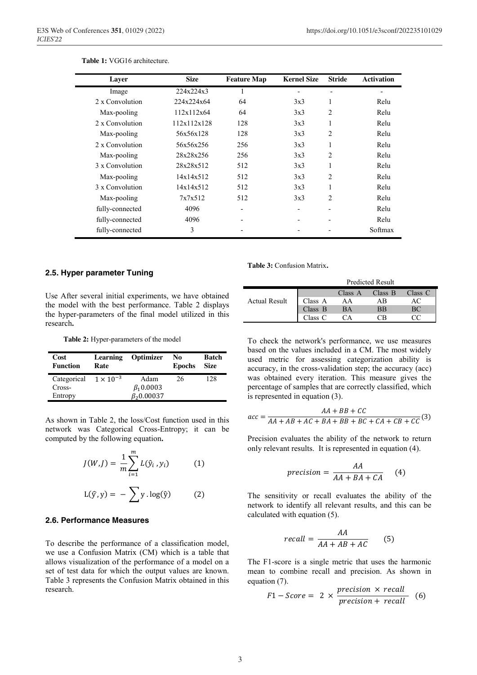| Layer           | <b>Size</b> | <b>Feature Map</b> | <b>Kernel Size</b> | <b>Stride</b>  | <b>Activation</b> |
|-----------------|-------------|--------------------|--------------------|----------------|-------------------|
| Image           | 224x224x3   |                    |                    |                |                   |
| 2 x Convolution | 224x224x64  | 64                 | 3x3                |                | Relu              |
| Max-pooling     | 112x112x64  | 64                 | 3x3                | 2              | Relu              |
| 2 x Convolution | 112x112x128 | 128                | 3x3                |                | Relu              |
| Max-pooling     | 56x56x128   | 128                | 3x3                | 2              | Relu              |
| 2 x Convolution | 56x56x256   | 256                | 3x3                |                | Relu              |
| Max-pooling     | 28x28x256   | 256                | 3x3                | 2              | Relu              |
| 3 x Convolution | 28x28x512   | 512                | 3x3                |                | Relu              |
| Max-pooling     | 14x14x512   | 512                | 3x3                | 2              | Relu              |
| 3 x Convolution | 14x14x512   | 512                | 3x3                |                | Relu              |
| Max-pooling     | 7x7x512     | 512                | 3x3                | $\mathfrak{D}$ | Relu              |
| fully-connected | 4096        |                    |                    |                | Relu              |
| fully-connected | 4096        |                    |                    |                | Relu              |
| fully-connected | 3           |                    |                    |                | Softmax           |

#### **Table 1:** VGG16 architecture.

#### **2.5. Hyper parameter Tuning**

**Table 3:** Confusion Matrix**.**

Use After several initial experiments, we have obtained the model with the best performance. Table 2 displays the hyper-parameters of the final model utilized in this research**.**

**Table 2:** Hyper-parameters of the model

| Cost<br><b>Function</b>        | Learning<br>Rate | <b>Optimizer</b>  | No<br><b>Epochs</b> | <b>Batch</b><br><b>Size</b> |
|--------------------------------|------------------|-------------------|---------------------|-----------------------------|
| Categorical $1 \times 10^{-3}$ |                  | Adam              | 26                  | 128                         |
| Cross-                         |                  | $\beta_1 0.0003$  |                     |                             |
| Entropy                        |                  | $\beta_2 0.00037$ |                     |                             |

As shown in Table 2, the loss/Cost function used in this network was Categorical Cross-Entropy; it can be computed by the following equation**.**

$$
J(W, J) = \frac{1}{m} \sum_{i=1}^{m} L(\hat{y}_i, y_i)
$$
 (1)  

$$
L(\hat{y}, y) = -\sum_{i=1}^{m} y \cdot \log(\hat{y})
$$
 (2)

#### **2.6. Performance Measures**

To describe the performance of a classification model, we use a Confusion Matrix (CM) which is a table that allows visualization of the performance of a model on a set of test data for which the output values are known. Table 3 represents the Confusion Matrix obtained in this research.

|                      | <b>Predicted Result</b> |         |           |         |
|----------------------|-------------------------|---------|-----------|---------|
|                      |                         | Class A | Class B   | Class C |
| <b>Actual Result</b> | Class A                 | ΑA      | ΑB        |         |
|                      | Class $B$               | BA      | <b>BB</b> | ВC      |
|                      | Class C                 | ்∆      | ٦R        |         |

To check the network's performance, we use measures based on the values included in a CM. The most widely used metric for assessing categorization ability is accuracy, in the cross-validation step; the accuracy (acc) was obtained every iteration. This measure gives the percentage of samples that are correctly classified, which is represented in equation (3).

$$
acc = \frac{AA + BB + CC}{AA + AB + AC + BA + BB + BC + CA + CB + CC}
$$
(3)

Precision evaluates the ability of the network to return only relevant results. It is represented in equation (4).

$$
precision = \frac{AA}{AA + BA + CA} \tag{4}
$$

The sensitivity or recall evaluates the ability of the network to identify all relevant results, and this can be calculated with equation (5).

$$
recall = \frac{AA}{AA + AB + AC}
$$
 (5)

The F1-score is a single metric that uses the harmonic mean to combine recall and precision. As shown in equation (7).

$$
F1 - Score = 2 \times \frac{precision \times recall}{precision + recall} \quad (6)
$$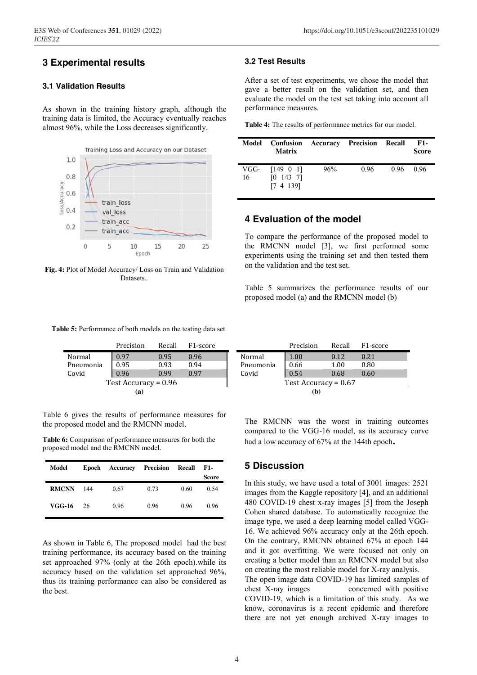# **3 Experimental results**

#### **3.1 Validation Results**

As shown in the training history graph, although the training data is limited, the Accuracy eventually reaches almost 96%, while the Loss decreases significantly.



**Fig. 4:** Plot of Model Accuracy/ Loss on Train and Validation Datasets..

#### **3.2 Test Results**

After a set of test experiments, we chose the model that gave a better result on the validation set, and then evaluate the model on the test set taking into account all performance measures.

**Table 4:** The results of performance metrics for our model.

|            | Model Confusion Accuracy Precision Recall<br><b>Matrix</b> |     |      |      | F1-<br><b>Score</b> |
|------------|------------------------------------------------------------|-----|------|------|---------------------|
| VGG-<br>16 | $[149 \ 0 \ 1]$<br>[0 143 7]<br>[7 4 139]                  | 96% | 0.96 | 0.96 | 0.96                |

### **4 Evaluation of the model**

To compare the performance of the proposed model to the RMCNN model [3], we first performed some experiments using the training set and then tested them on the validation and the test set.

Table 5 summarizes the performance results of our proposed model (a) and the RMCNN model (b)

**Table 5:** Performance of both models on the testing data set

|                        | Precision | Recall | F <sub>1</sub> -score |  |  |
|------------------------|-----------|--------|-----------------------|--|--|
| Normal                 | 0.97      | 0.95   | 0.96                  |  |  |
| Pneumonia              | 0.95      | 0.93   | 0.94                  |  |  |
| Covid                  | 0.96      | 0.99   | 0.97                  |  |  |
| Test Accuracy = $0.96$ |           |        |                       |  |  |
| (a)                    |           |        |                       |  |  |

Table 6 gives the results of performance measures for the proposed model and the RMCNN model.

**Table 6:** Comparison of performance measures for both the proposed model and the RMCNN model.

| Model        | Epoch |      | <b>Accuracy Precision</b> | Recall | F1-   |
|--------------|-------|------|---------------------------|--------|-------|
|              |       |      |                           |        | Score |
| <b>RMCNN</b> | 144   | 0.67 | 0.73                      | 0.60   | 0.54  |
| VGG-16       | 26    | 0.96 | 0.96                      | 0.96   | 0.96  |

As shown in Table 6, The proposed model had the best training performance, its accuracy based on the training set approached 97% (only at the 26th epoch).while its accuracy based on the validation set approached 96%, thus its training performance can also be considered as the best.

|                        | Precision | Recall | F <sub>1</sub> -score |  |  |
|------------------------|-----------|--------|-----------------------|--|--|
| Normal                 | 1.00      | 0.12   | 0.21                  |  |  |
| Pneumonia              | 0.66      | 1.00   | 0.80                  |  |  |
| Covid                  | 0.54      | 0.68   | 0.60                  |  |  |
| Test Accuracy = $0.67$ |           |        |                       |  |  |
| (b                     |           |        |                       |  |  |

The RMCNN was the worst in training outcomes compared to the VGG-16 model, as its accuracy curve had a low accuracy of 67% at the 144th epoch**.**

### **5 Discussion**

In this study, we have used a total of 3001 images: 2521 images from the Kaggle repository [4], and an additional 480 COVID-19 chest x-ray images [5] from the Joseph Cohen shared database. To automatically recognize the image type, we used a deep learning model called VGG-16. We achieved 96% accuracy only at the 26th epoch. On the contrary, RMCNN obtained 67% at epoch 144 and it got overfitting. We were focused not only on creating a better model than an RMCNN model but also on creating the most reliable model for X-ray analysis. The open image data COVID-19 has limited samples of chest X-ray images concerned with positive COVID-19, which is a limitation of this study. As we know, coronavirus is a recent epidemic and therefore there are not yet enough archived X-ray images to